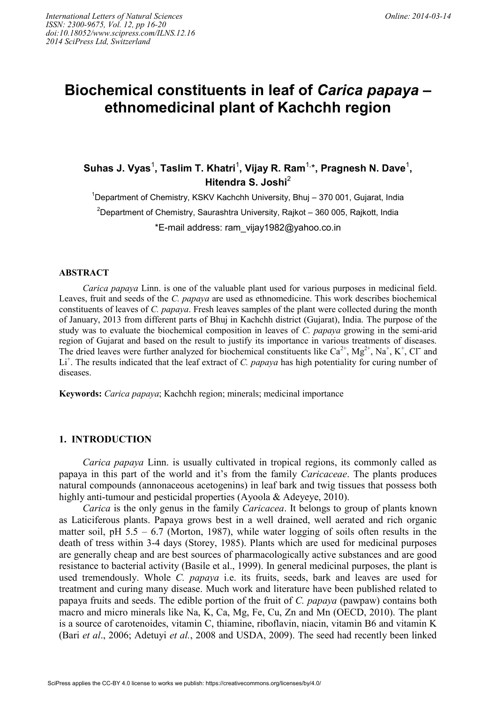# **Biochemical constituents in leaf of** *Carica papaya* **– ethnomedicinal plant of Kachchh region**

Suhas J. Vyas<sup>1</sup>, Taslim T. Khatri<sup>1</sup>, Vijay R. Ram<sup>1,</sup>\*, Pragnesh N. Dave<sup>1</sup>, **Hitendra S. Joshi**<sup>2</sup>

 $1$ Department of Chemistry, KSKV Kachchh University, Bhui – 370 001, Gujarat, India <sup>2</sup>Department of Chemistry, Saurashtra University, Rajkot – 360 005, Rajkott, India \*E-mail address: ram\_vijay1982@yahoo.co.in

# **ABSTRACT**

*Carica papaya* Linn. is one of the valuable plant used for various purposes in medicinal field. Leaves, fruit and seeds of the *C. papaya* are used as ethnomedicine. This work describes biochemical constituents of leaves of *C. papaya*. Fresh leaves samples of the plant were collected during the month of January, 2013 from different parts of Bhuj in Kachchh district (Gujarat), India. The purpose of the study was to evaluate the biochemical composition in leaves of *C. papaya* growing in the semi-arid region of Gujarat and based on the result to justify its importance in various treatments of diseases. The dried leaves were further analyzed for biochemical constituents like  $Ca^{2+}$ ,  $Mg^{2+}$ , Na<sup>+</sup>, K<sup>+</sup>, Cl<sup>-</sup> and Li<sup>+</sup>. The results indicated that the leaf extract of *C. papaya* has high potentiality for curing number of diseases.

**Keywords:** *Carica papaya*; Kachchh region; minerals; medicinal importance

# **1. INTRODUCTION**

*Carica papaya* Linn. is usually cultivated in tropical regions, its commonly called as papaya in this part of the world and it's from the family *Caricaceae*. The plants produces natural compounds (annonaceous acetogenins) in leaf bark and twig tissues that possess both highly anti-tumour and pesticidal properties (Ayoola & Adeyeye, 2010).

*Carica* is the only genus in the family *Caricacea*. It belongs to group of plants known as Laticiferous plants. Papaya grows best in a well drained, well aerated and rich organic matter soil, pH  $5.5 - 6.7$  (Morton, 1987), while water logging of soils often results in the death of tress within 3-4 days (Storey, 1985). Plants which are used for medicinal purposes are generally cheap and are best sources of pharmacologically active substances and are good resistance to bacterial activity (Basile et al., 1999). In general medicinal purposes, the plant is used tremendously. Whole *C. papaya* i.e. its fruits, seeds, bark and leaves are used for treatment and curing many disease. Much work and literature have been published related to papaya fruits and seeds. The edible portion of the fruit of *C. papaya* (pawpaw) contains both macro and micro minerals like Na, K, Ca, Mg, Fe, Cu, Zn and Mn (OECD, 2010). The plant is a source of carotenoides, vitamin C, thiamine, riboflavin, niacin, vitamin B6 and vitamin K (Bari *et al*., 2006; Adetuyi *et al.*, 2008 and USDA, 2009). The seed had recently been linked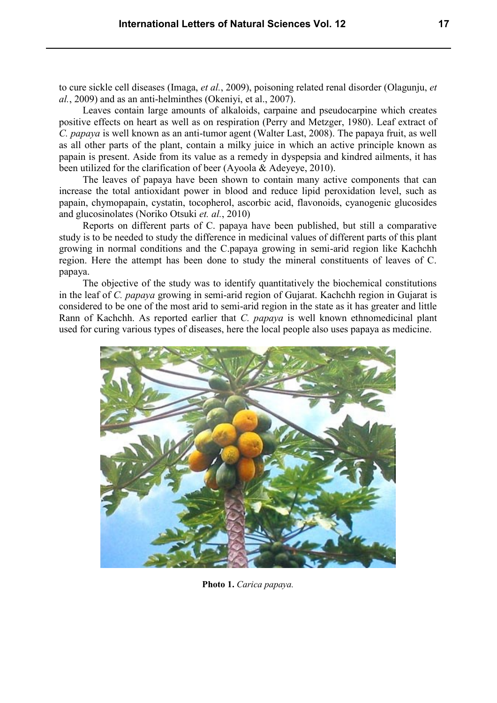to cure sickle cell diseases (Imaga, *et al.*, 2009), poisoning related renal disorder (Olagunju, *et al.*, 2009) and as an anti-helminthes (Okeniyi, et al., 2007).

Leaves contain large amounts of alkaloids, carpaine and pseudocarpine which creates positive effects on heart as well as on respiration (Perry and Metzger, 1980). Leaf extract of *C. papaya* is well known as an anti-tumor agent (Walter Last, 2008). The papaya fruit, as well as all other parts of the plant, contain a milky juice in which an active principle known as papain is present. Aside from its value as a remedy in dyspepsia and kindred ailments, it has been utilized for the clarification of beer (Ayoola & Adeyeye, 2010).

The leaves of papaya have been shown to contain many active components that can increase the total antioxidant power in blood and reduce lipid peroxidation level, such as papain, chymopapain, cystatin, tocopherol, ascorbic acid, flavonoids, cyanogenic glucosides and glucosinolates (Noriko Otsuki *et. al.*, 2010)

Reports on different parts of C. papaya have been published, but still a comparative study is to be needed to study the difference in medicinal values of different parts of this plant growing in normal conditions and the C.papaya growing in semi-arid region like Kachchh region. Here the attempt has been done to study the mineral constituents of leaves of C. papaya.

The objective of the study was to identify quantitatively the biochemical constitutions in the leaf of *C. papaya* growing in semi-arid region of Gujarat. Kachchh region in Gujarat is considered to be one of the most arid to semi-arid region in the state as it has greater and little Rann of Kachchh. As reported earlier that *C. papaya* is well known ethnomedicinal plant used for curing various types of diseases, here the local people also uses papaya as medicine.



**Photo 1.** *Carica papaya.*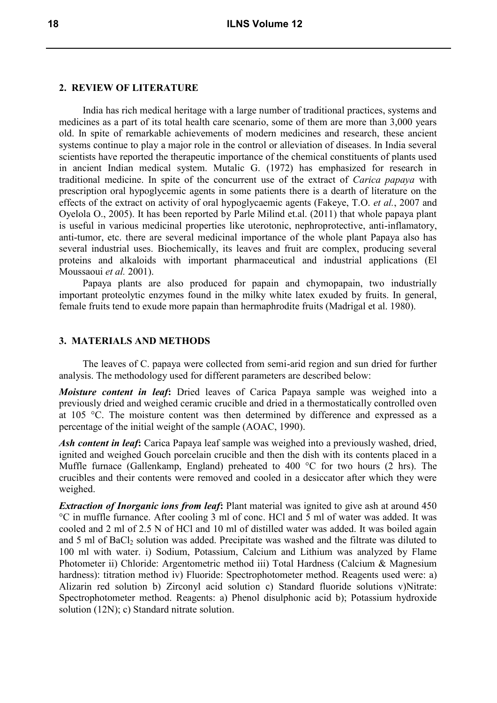# **2. REVIEW OF LITERATURE**

India has rich medical heritage with a large number of traditional practices, systems and medicines as a part of its total health care scenario, some of them are more than 3,000 years old. In spite of remarkable achievements of modern medicines and research, these ancient systems continue to play a major role in the control or alleviation of diseases. In India several scientists have reported the therapeutic importance of the chemical constituents of plants used in ancient Indian medical system. Mutalic G. (1972) has emphasized for research in traditional medicine. In spite of the concurrent use of the extract of *Carica papaya* with prescription oral hypoglycemic agents in some patients there is a dearth of literature on the effects of the extract on activity of oral hypoglycaemic agents (Fakeye, T.O. *et al.*, 2007 and Oyelola O., 2005). It has been reported by Parle Milind et.al. (2011) that whole papaya plant is useful in various medicinal properties like uterotonic, nephroprotective, anti-inflamatory, anti-tumor, etc. there are several medicinal importance of the whole plant Papaya also has several industrial uses. Biochemically, its leaves and fruit are complex, producing several proteins and alkaloids with important pharmaceutical and industrial applications (El Moussaoui *et al.* 2001).

Papaya plants are also produced for papain and chymopapain, two industrially important proteolytic enzymes found in the milky white latex exuded by fruits. In general, female fruits tend to exude more papain than hermaphrodite fruits (Madrigal et al. 1980).

# **3. MATERIALS AND METHODS**

The leaves of C. papaya were collected from semi-arid region and sun dried for further analysis. The methodology used for different parameters are described below:

*Moisture content in leaf***:** Dried leaves of Carica Papaya sample was weighed into a previously dried and weighed ceramic crucible and dried in a thermostatically controlled oven at 105 °C. The moisture content was then determined by difference and expressed as a percentage of the initial weight of the sample (AOAC, 1990).

*Ash content in leaf***:** Carica Papaya leaf sample was weighed into a previously washed, dried, ignited and weighed Gouch porcelain crucible and then the dish with its contents placed in a Muffle furnace (Gallenkamp, England) preheated to 400 °C for two hours (2 hrs). The crucibles and their contents were removed and cooled in a desiccator after which they were weighed.

*Extraction of Inorganic ions from leaf***:** Plant material was ignited to give ash at around 450 °C in muffle furnance. After cooling 3 ml of conc. HCl and 5 ml of water was added. It was cooled and 2 ml of 2.5 N of HCl and 10 ml of distilled water was added. It was boiled again and 5 ml of BaCl<sub>2</sub> solution was added. Precipitate was washed and the filtrate was diluted to 100 ml with water. i) Sodium, Potassium, Calcium and Lithium was analyzed by Flame Photometer ii) Chloride: Argentometric method iii) Total Hardness (Calcium & Magnesium hardness): titration method iv) Fluoride: Spectrophotometer method. Reagents used were: a) Alizarin red solution b) Zirconyl acid solution c) Standard fluoride solutions v)Nitrate: Spectrophotometer method. Reagents: a) Phenol disulphonic acid b); Potassium hydroxide solution (12N); c) Standard nitrate solution.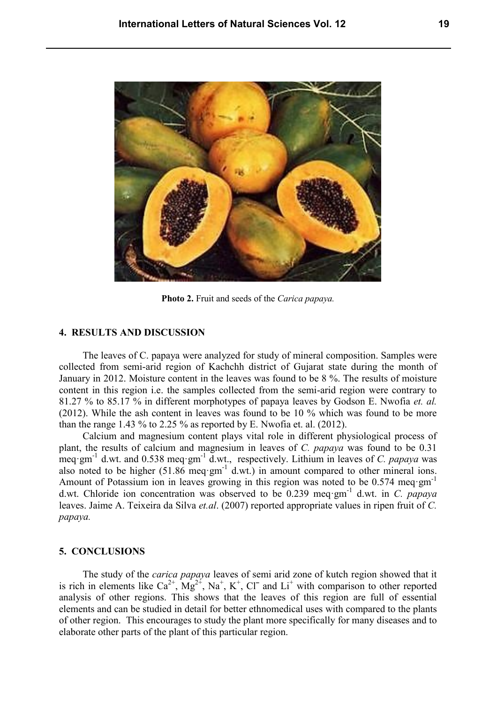

**Photo 2.** Fruit and seeds of the *Carica papaya.*

# **4. RESULTS AND DISCUSSION**

The leaves of C. papaya were analyzed for study of mineral composition. Samples were collected from semi-arid region of Kachchh district of Gujarat state during the month of January in 2012. Moisture content in the leaves was found to be 8 %. The results of moisture content in this region i.e. the samples collected from the semi-arid region were contrary to 81.27 % to 85.17 % in different morphotypes of papaya leaves by Godson E. Nwofia *et. al.* (2012). While the ash content in leaves was found to be 10 % which was found to be more than the range  $1.43\%$  to  $2.25\%$  as reported by E. Nwofia et. al. (2012).

Calcium and magnesium content plays vital role in different physiological process of plant, the results of calcium and magnesium in leaves of *C. papaya* was found to be 0.31 meq·gm<sup>-1</sup> d.wt. and 0.538 meq·gm<sup>-1</sup> d.wt., respectively. Lithium in leaves of *C. papaya* was also noted to be higher  $(51.86 \text{ meq·gm}^{-1} \text{d.wt.})$  in amount compared to other mineral ions. Amount of Potassium ion in leaves growing in this region was noted to be 0.574 meq·gm<sup>-1</sup> d.wt. Chloride ion concentration was observed to be 0.239 meq·gm-1 d.wt. in *C. papaya* leaves. Jaime A. Teixeira da Silva *et.al*. (2007) reported appropriate values in ripen fruit of *C. papaya.*

## **5. CONCLUSIONS**

The study of the *carica papaya* leaves of semi arid zone of kutch region showed that it is rich in elements like  $Ca^{2+}$ ,  $Mg^{2+}$ ,  $Na^{+}$ ,  $K^{+}$ ,  $Cl^{-}$  and  $Li^{+}$  with comparison to other reported analysis of other regions. This shows that the leaves of this region are full of essential elements and can be studied in detail for better ethnomedical uses with compared to the plants of other region. This encourages to study the plant more specifically for many diseases and to elaborate other parts of the plant of this particular region.